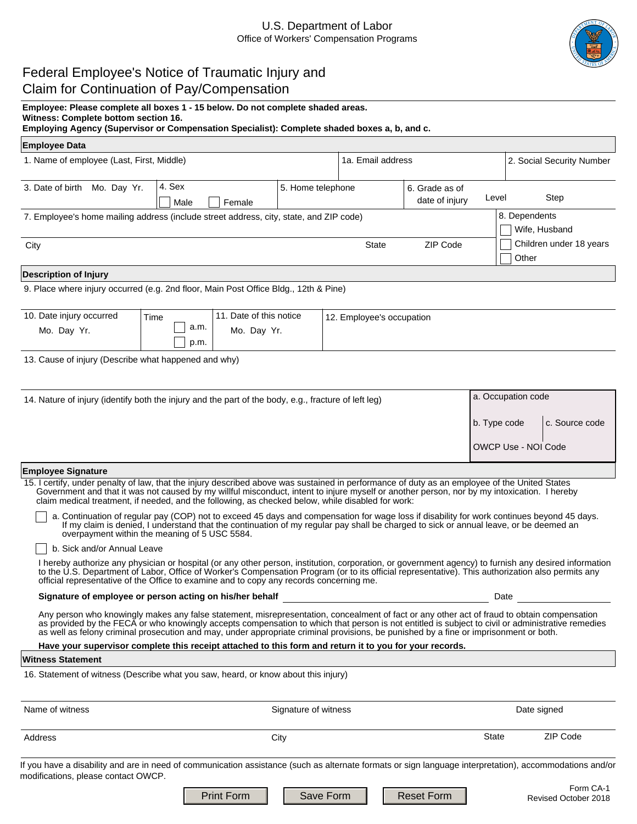# U.S. Department of Labor Office of Workers' Compensation Programs



Revised October 2018

# Federal Employee's Notice of Traumatic Injury and Claim for Continuation of Pay/Compensation

**Witness: Complete bottom section 16.** 

**Employing Agency (Supervisor or Compensation Specialist): Complete shaded boxes a, b, and c.**

| <b>Employee Data</b> |  |  |
|----------------------|--|--|
|----------------------|--|--|

| 1. Name of employee (Last, First, Middle)                                                            |                |                         | 1a. Email address |                           | 2. Social Security Number        |                                  |
|------------------------------------------------------------------------------------------------------|----------------|-------------------------|-------------------|---------------------------|----------------------------------|----------------------------------|
| Mo. Day Yr.<br>3. Date of birth                                                                      | 4. Sex<br>Male | Female                  | 5. Home telephone |                           | 6. Grade as of<br>date of injury | Step<br>Level                    |
| 7. Employee's home mailing address (include street address, city, state, and ZIP code)               |                |                         |                   |                           |                                  | 8. Dependents<br>Wife, Husband   |
| City                                                                                                 |                |                         |                   | <b>State</b>              | ZIP Code<br>$\vert \vert$        | Children under 18 years<br>Other |
| <b>Description of Injury</b>                                                                         |                |                         |                   |                           |                                  |                                  |
| 9. Place where injury occurred (e.g. 2nd floor, Main Post Office Bldg., 12th & Pine)                 |                |                         |                   |                           |                                  |                                  |
| 10. Date injury occurred                                                                             | Time           | 11. Date of this notice |                   | 12. Employee's occupation |                                  |                                  |
| Mo. Day Yr.                                                                                          | a.m.<br>p.m.   | Mo. Day Yr.             |                   |                           |                                  |                                  |
| 13. Cause of injury (Describe what happened and why)                                                 |                |                         |                   |                           |                                  |                                  |
| 14. Nature of injury (identify both the injury and the part of the body, e.g., fracture of left leg) |                |                         |                   | a. Occupation code        |                                  |                                  |
|                                                                                                      |                |                         |                   |                           |                                  | c. Source code<br>b. Type code   |
|                                                                                                      |                |                         |                   |                           |                                  | OWCP Use - NOI Code              |

## **Employee Signature**

15. I certify, under penalty of law, that the injury described above was sustained in performance of duty as an employee of the United States Government and that it was not caused by my willful misconduct, intent to injure myself or another person, nor by my intoxication. I hereby claim medical treatment, if needed, and the following, as checked below, while disabled for work:

a. Continuation of regular pay (COP) not to exceed 45 days and compensation for wage loss if disability for work continues beyond 45 days. If my claim is denied, I understand that the continuation of my regular pay shall be charged to sick or annual leave, or be deemed an overpayment within the meaning of 5 USC 5584.

## b. Sick and/or Annual Leave

I hereby authorize any physician or hospital (or any other person, institution, corporation, or government agency) to furnish any desired information to the U.S. Department of Labor, Office of Worker's Compensation Program (or to its official representative). This authorization also permits any official representative of the Office to examine and to copy any records concerning me.

#### **Signature of employee or person acting on his/her behalf** Date Date Date Date Date

Any person who knowingly makes any false statement, misrepresentation, concealment of fact or any other act of fraud to obtain compensation as provided by the FECA or who knowingly accepts compensation to which that person is not entitled is subject to civil or administrative remedies as well as felony criminal prosecution and may, under appropriate criminal provisions, be punished by a fine or imprisonment or both.

# **Have your supervisor complete this receipt attached to this form and return it to you for your records.**

#### **Witness Statement**

16. Statement of witness (Describe what you saw, heard, or know about this injury)

| Name of witness                                                                                                                                                                                |                   | Signature of witness |            | Date signed                       |  |
|------------------------------------------------------------------------------------------------------------------------------------------------------------------------------------------------|-------------------|----------------------|------------|-----------------------------------|--|
| Address                                                                                                                                                                                        |                   | City                 |            | ZIP Code<br>State                 |  |
| If you have a disability and are in need of communication assistance (such as alternate formats or sign language interpretation), accommodations and/or<br>modifications, please contact OWCP. |                   |                      |            |                                   |  |
|                                                                                                                                                                                                | <b>Print Form</b> | Save Form            | Reset Form | Form CA-1<br>Revised October 2018 |  |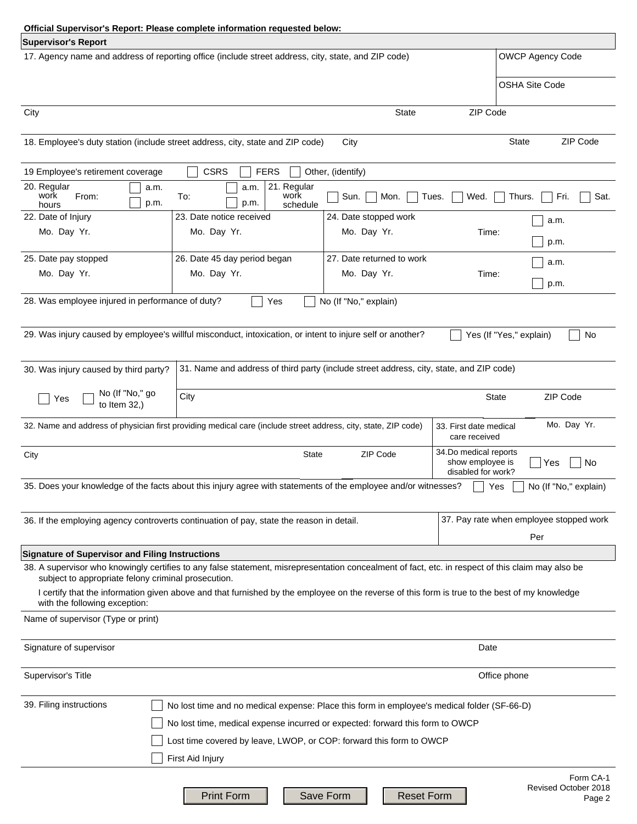|                                                                                                                                                | Official Supervisor's Report: Please complete information requested below:                                                                                                                                                                                                                         |                                |                                                                 |                                             |  |
|------------------------------------------------------------------------------------------------------------------------------------------------|----------------------------------------------------------------------------------------------------------------------------------------------------------------------------------------------------------------------------------------------------------------------------------------------------|--------------------------------|-----------------------------------------------------------------|---------------------------------------------|--|
| <b>Supervisor's Report</b>                                                                                                                     |                                                                                                                                                                                                                                                                                                    |                                |                                                                 |                                             |  |
| 17. Agency name and address of reporting office (include street address, city, state, and ZIP code)                                            |                                                                                                                                                                                                                                                                                                    |                                |                                                                 | <b>OWCP Agency Code</b>                     |  |
|                                                                                                                                                |                                                                                                                                                                                                                                                                                                    |                                |                                                                 | <b>OSHA Site Code</b>                       |  |
| City                                                                                                                                           |                                                                                                                                                                                                                                                                                                    | State                          | ZIP Code<br>$\vert \vert$                                       |                                             |  |
|                                                                                                                                                | 18. Employee's duty station (include street address, city, state and ZIP code)                                                                                                                                                                                                                     | City                           |                                                                 | ZIP Code<br><b>State</b><br>$\blacksquare$  |  |
| 19 Employee's retirement coverage                                                                                                              | <b>CSRS</b><br><b>FERS</b>                                                                                                                                                                                                                                                                         | Other, (identify)              |                                                                 |                                             |  |
| 20. Regular<br>a.m.<br>work<br>From:<br>p.m.<br>hours                                                                                          | 21. Regular<br>a.m.<br>To:<br>work<br>p.m.<br>schedule                                                                                                                                                                                                                                             | Sun.<br>Mon.                   | Wed.<br>Tues.                                                   | Fri.<br>Sat.<br>Thurs.                      |  |
| 22. Date of Injury                                                                                                                             | 23. Date notice received                                                                                                                                                                                                                                                                           | 24. Date stopped work          |                                                                 | a.m.                                        |  |
| Mo. Day Yr.                                                                                                                                    | Mo. Day Yr.                                                                                                                                                                                                                                                                                        | Mo. Day Yr.                    | Time:                                                           | p.m.                                        |  |
| 25. Date pay stopped                                                                                                                           | 26. Date 45 day period began                                                                                                                                                                                                                                                                       | 27. Date returned to work      |                                                                 | a.m.                                        |  |
| Mo. Day Yr.                                                                                                                                    | Mo. Day Yr.                                                                                                                                                                                                                                                                                        | Mo. Day Yr.                    | Time:                                                           | p.m.                                        |  |
| 28. Was employee injured in performance of duty?                                                                                               | Yes                                                                                                                                                                                                                                                                                                | No (If "No," explain)          |                                                                 |                                             |  |
|                                                                                                                                                | 29. Was injury caused by employee's willful misconduct, intoxication, or intent to injure self or another?                                                                                                                                                                                         |                                |                                                                 | Yes (If "Yes," explain)<br>No               |  |
| 30. Was injury caused by third party?                                                                                                          | 31. Name and address of third party (include street address, city, state, and ZIP code)                                                                                                                                                                                                            |                                |                                                                 |                                             |  |
| No (If "No," go<br>to Item 32,)<br>Yes                                                                                                         | City                                                                                                                                                                                                                                                                                               |                                | State                                                           | ZIP Code<br>$\blacksquare$                  |  |
|                                                                                                                                                | 32. Name and address of physician first providing medical care (include street address, city, state, ZIP code)                                                                                                                                                                                     |                                | 33. First date medical<br>care received                         | Mo. Day Yr.                                 |  |
| City                                                                                                                                           | State                                                                                                                                                                                                                                                                                              | ZIP Code                       | 34.Do medical reports<br>show employee is<br>disabled for work? | Yes<br>No                                   |  |
|                                                                                                                                                | 35. Does your knowledge of the facts about this injury agree with statements of the employee and/or witnesses?                                                                                                                                                                                     |                                | Yes                                                             | No (If "No," explain)                       |  |
| 37. Pay rate when employee stopped work<br>36. If the employing agency controverts continuation of pay, state the reason in detail.            |                                                                                                                                                                                                                                                                                                    |                                |                                                                 |                                             |  |
|                                                                                                                                                |                                                                                                                                                                                                                                                                                                    |                                |                                                                 | Per                                         |  |
| <b>Signature of Supervisor and Filing Instructions</b><br>subject to appropriate felony criminal prosecution.<br>with the following exception: | 38. A supervisor who knowingly certifies to any false statement, misrepresentation concealment of fact, etc. in respect of this claim may also be<br>I certify that the information given above and that furnished by the employee on the reverse of this form is true to the best of my knowledge |                                |                                                                 |                                             |  |
| Name of supervisor (Type or print)                                                                                                             |                                                                                                                                                                                                                                                                                                    |                                |                                                                 |                                             |  |
| Signature of supervisor                                                                                                                        |                                                                                                                                                                                                                                                                                                    |                                | Date                                                            |                                             |  |
| Supervisor's Title                                                                                                                             |                                                                                                                                                                                                                                                                                                    |                                |                                                                 | Office phone                                |  |
| 39. Filing instructions                                                                                                                        |                                                                                                                                                                                                                                                                                                    |                                |                                                                 |                                             |  |
|                                                                                                                                                | No lost time and no medical expense: Place this form in employee's medical folder (SF-66-D)                                                                                                                                                                                                        |                                |                                                                 |                                             |  |
| No lost time, medical expense incurred or expected: forward this form to OWCP                                                                  |                                                                                                                                                                                                                                                                                                    |                                |                                                                 |                                             |  |
|                                                                                                                                                | Lost time covered by leave, LWOP, or COP: forward this form to OWCP                                                                                                                                                                                                                                |                                |                                                                 |                                             |  |
|                                                                                                                                                | First Aid Injury                                                                                                                                                                                                                                                                                   |                                |                                                                 |                                             |  |
|                                                                                                                                                | <b>Print Form</b>                                                                                                                                                                                                                                                                                  | <b>Reset Form</b><br>Save Form |                                                                 | Form CA-1<br>Revised October 2018<br>Page 2 |  |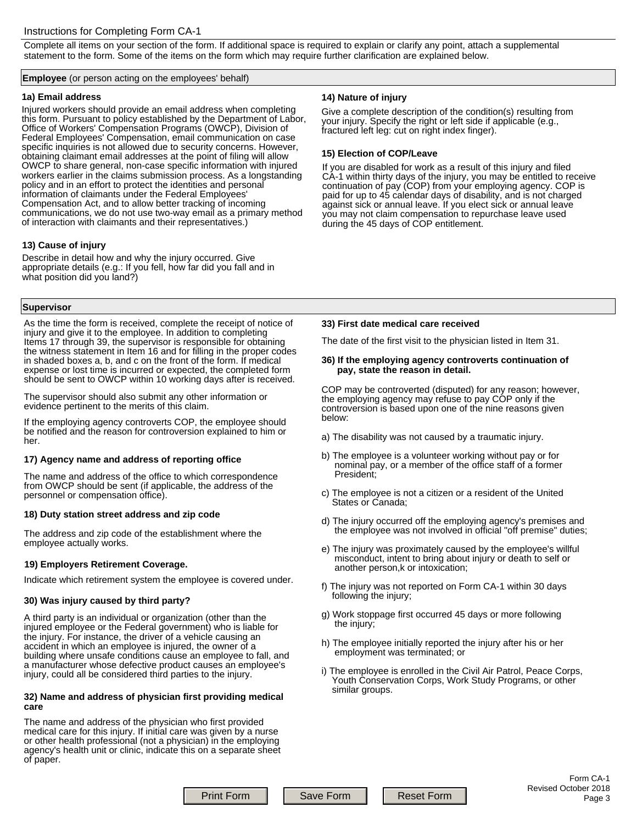# Instructions for Completing Form CA-1

Complete all items on your section of the form. If additional space is required to explain or clarify any point, attach a supplemental statement to the form. Some of the items on the form which may require further clarification are explained below.

#### **Employee** (or person acting on the employees' behalf)

#### **1a) Email address**

Injured workers should provide an email address when completing this form. Pursuant to policy established by the Department of Labor, Office of Workers' Compensation Programs (OWCP), Division of Federal Employees' Compensation, email communication on case specific inquiries is not allowed due to security concerns. However, obtaining claimant email addresses at the point of filing will allow OWCP to share general, non-case specific information with injured workers earlier in the claims submission process. As a longstanding policy and in an effort to protect the identities and personal information of claimants under the Federal Employees' Compensation Act, and to allow better tracking of incoming communications, we do not use two-way email as a primary method of interaction with claimants and their representatives.)

# **13) Cause of injury**

Describe in detail how and why the injury occurred. Give appropriate details (e.g.: If you fell, how far did you fall and in what position did you land?)

## **Supervisor**

As the time the form is received, complete the receipt of notice of injury and give it to the employee. In addition to completing Items 17 through 39, the supervisor is responsible for obtaining the witness statement in Item 16 and for filling in the proper codes in shaded boxes a, b, and c on the front of the form. If medical expense or lost time is incurred or expected, the completed form should be sent to OWCP within 10 working days after is received.

The supervisor should also submit any other information or evidence pertinent to the merits of this claim.

If the employing agency controverts COP, the employee should be notified and the reason for controversion explained to him or her.

## **17) Agency name and address of reporting office**

The name and address of the office to which correspondence from OWCP should be sent (if applicable, the address of the personnel or compensation office).

# **18) Duty station street address and zip code**

The address and zip code of the establishment where the employee actually works.

## **19) Employers Retirement Coverage.**

Indicate which retirement system the employee is covered under.

## **30) Was injury caused by third party?**

A third party is an individual or organization (other than the injured employee or the Federal government) who is liable for the injury. For instance, the driver of a vehicle causing an accident in which an employee is injured, the owner of a building where unsafe conditions cause an employee to fall, and a manufacturer whose defective product causes an employee's injury, could all be considered third parties to the injury.

#### **32) Name and address of physician first providing medical care**

The name and address of the physician who first provided medical care for this injury. If initial care was given by a nurse or other health professional (not a physician) in the employing agency's health unit or clinic, indicate this on a separate sheet of paper.

## **14) Nature of injury**

Give a complete description of the condition(s) resulting from your injury. Specify the right or left side if applicable (e.g., fractured left leg: cut on right index finger).

# **15) Election of COP/Leave**

If you are disabled for work as a result of this injury and filed CA-1 within thirty days of the injury, you may be entitled to receive continuation of pay (COP) from your employing agency. COP is paid for up to 45 calendar days of disability, and is not charged against sick or annual leave. If you elect sick or annual leave you may not claim compensation to repurchase leave used during the 45 days of COP entitlement.

#### **33) First date medical care received**

The date of the first visit to the physician listed in Item 31.

#### **36) If the employing agency controverts continuation of pay, state the reason in detail.**

COP may be controverted (disputed) for any reason; however, the employing agency may refuse to pay COP only if the controversion is based upon one of the nine reasons given below:

- a) The disability was not caused by a traumatic injury.
- b) The employee is a volunteer working without pay or for nominal pay, or a member of the office staff of a former President;
- c) The employee is not a citizen or a resident of the United States or Canada;
- d) The injury occurred off the employing agency's premises and the employee was not involved in official "off premise" duties;
- e) The injury was proximately caused by the employee's willful misconduct, intent to bring about injury or death to self or another person,k or intoxication;
- f) The injury was not reported on Form CA-1 within 30 days following the injury;
- g) Work stoppage first occurred 45 days or more following the injury;
- h) The employee initially reported the injury after his or her employment was terminated; or
- i) The employee is enrolled in the Civil Air Patrol, Peace Corps, Youth Conservation Corps, Work Study Programs, or other similar groups.